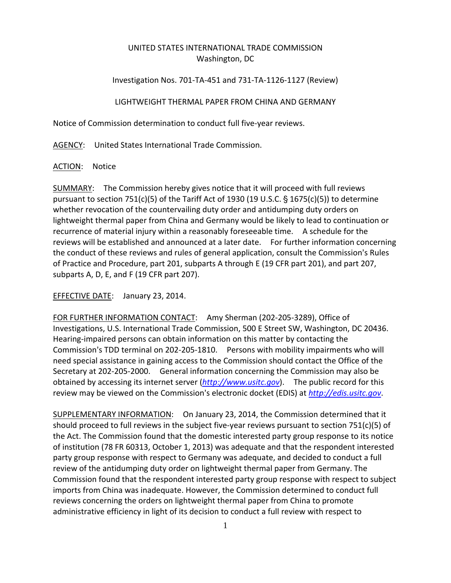## UNITED STATES INTERNATIONAL TRADE COMMISSION Washington, DC

## Investigation Nos. 701‐TA‐451 and 731‐TA‐1126‐1127 (Review)

## LIGHTWEIGHT THERMAL PAPER FROM CHINA AND GERMANY

Notice of Commission determination to conduct full five‐year reviews.

AGENCY: United States International Trade Commission.

## ACTION: Notice

SUMMARY: The Commission hereby gives notice that it will proceed with full reviews pursuant to section 751(c)(5) of the Tariff Act of 1930 (19 U.S.C.  $\S$  1675(c)(5)) to determine whether revocation of the countervailing duty order and antidumping duty orders on lightweight thermal paper from China and Germany would be likely to lead to continuation or recurrence of material injury within a reasonably foreseeable time. A schedule for the reviews will be established and announced at a later date. For further information concerning the conduct of these reviews and rules of general application, consult the Commission's Rules of Practice and Procedure, part 201, subparts A through E (19 CFR part 201), and part 207, subparts A, D, E, and F (19 CFR part 207).

EFFECTIVE DATE: January 23, 2014.

FOR FURTHER INFORMATION CONTACT: Amy Sherman (202‐205‐3289), Office of Investigations, U.S. International Trade Commission, 500 E Street SW, Washington, DC 20436. Hearing‐impaired persons can obtain information on this matter by contacting the Commission's TDD terminal on 202-205-1810. Persons with mobility impairments who will need special assistance in gaining access to the Commission should contact the Office of the Secretary at 202‐205‐2000. General information concerning the Commission may also be obtained by accessing its internet server (*http://www.usitc.gov*). The public record for this review may be viewed on the Commission's electronic docket (EDIS) at *http://edis.usitc.gov.* 

SUPPLEMENTARY INFORMATION: On January 23, 2014, the Commission determined that it should proceed to full reviews in the subject five-year reviews pursuant to section 751(c)(5) of the Act. The Commission found that the domestic interested party group response to its notice of institution (78 FR 60313, October 1, 2013) was adequate and that the respondent interested party group response with respect to Germany was adequate, and decided to conduct a full review of the antidumping duty order on lightweight thermal paper from Germany. The Commission found that the respondent interested party group response with respect to subject imports from China was inadequate. However, the Commission determined to conduct full reviews concerning the orders on lightweight thermal paper from China to promote administrative efficiency in light of its decision to conduct a full review with respect to